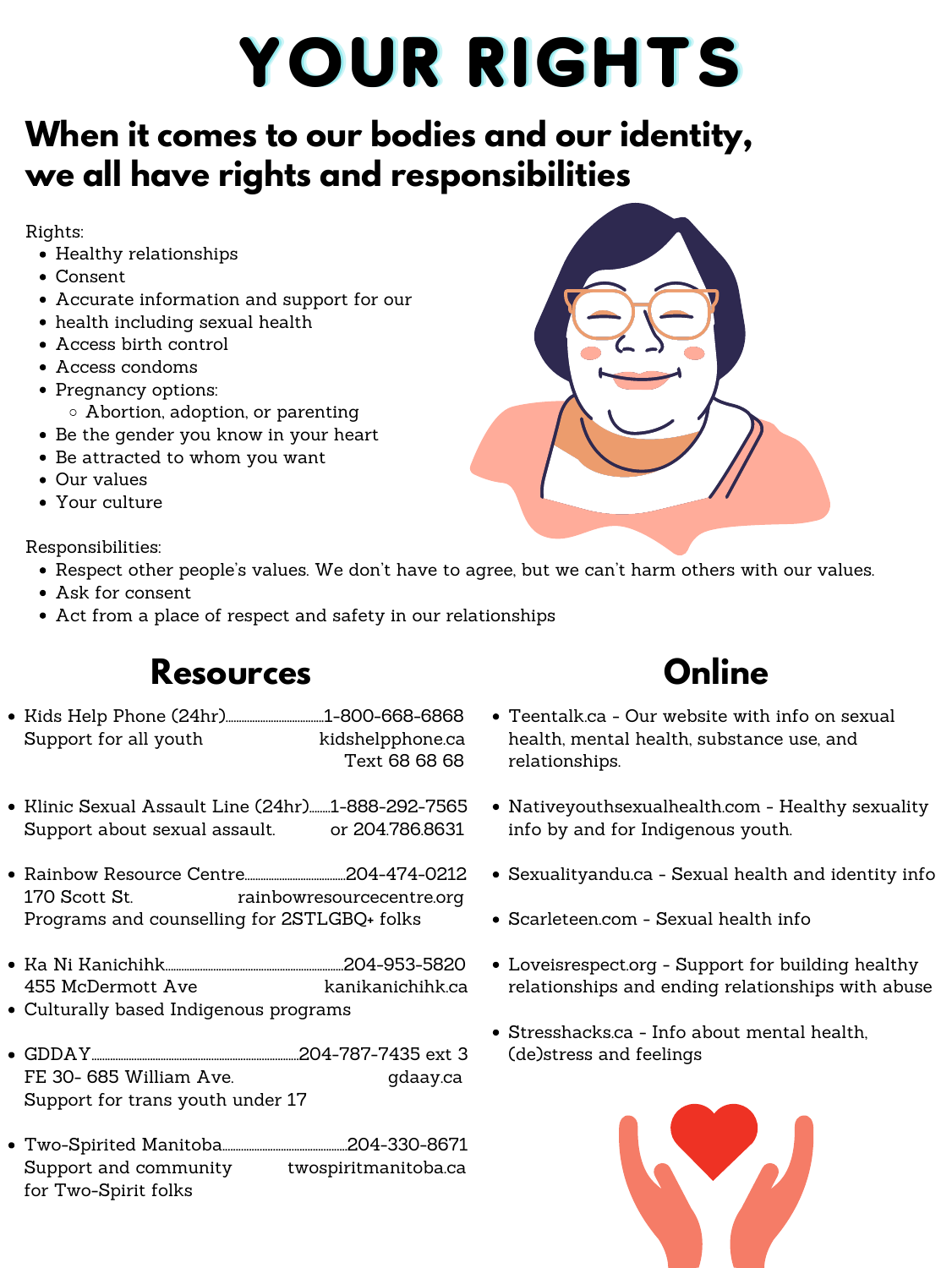- Healthy relationships
- Consent
- Accurate information and support for our
- health including sexual health
- Access birth control
- Access condoms
- Pregnancy options:
	- Abortion, adoption, or parenting
- Be the gender you know in your heart
- Be attracted to whom you want
- Our values
- Your culture

- Respect other people's values. We don't have to agree, but we can't harm others with our values.
- Ask for consent
- Act from a place of respect and safety in our relationships







# YOUR RIGHTS

## **When it comes to our bodies and our identity, we all have rights and responsibilities**

Rights:

Responsibilities:

**Online**

- Teentalk.ca Our website with info on sexual health, mental health, substance use, and relationships.
- Nativeyouthsexualhealth.com Healthy sexuality info by and for Indigenous youth.
- Sexualityandu.ca Sexual health and identity info
- Scarleteen.com Sexual health info
- Loveisrespect.org Support for building healthy relationships and ending relationships with abuse
- Stresshacks.ca Info about mental health, (de)stress and feelings



#### **Resources**

- Kids Help Phone (24hr).....................................1-800-668-6868 Support for all youth  $\qquad \qquad$  kidshelpphone.ca Text 68 68 68
- Klinic Sexual Assault Line (24hr).......1-888-292-7565 Support about sexual assault. or 204.786.8631
- Rainbow Resource Centre......................................204-474-0212 170 Scott St. The rainbowresourcecentre.org Programs and counselling for 2STLGBQ+ folks
- Ka Ni Kanichihk...................................................................204-953-5820 455 McDermott Ave kanikanichihk.ca
- Culturally based Indigenous programs
- GDDAY..............................................................................204-787-7435 ext 3 FE 30- 685 William Ave. gdaay.ca Support for trans youth under 17
- Two-Spirited Manitoba...............................................[204-330-8671](tel:2043308671) Support and community twospiritmanitoba.ca for Two-Spirit folks